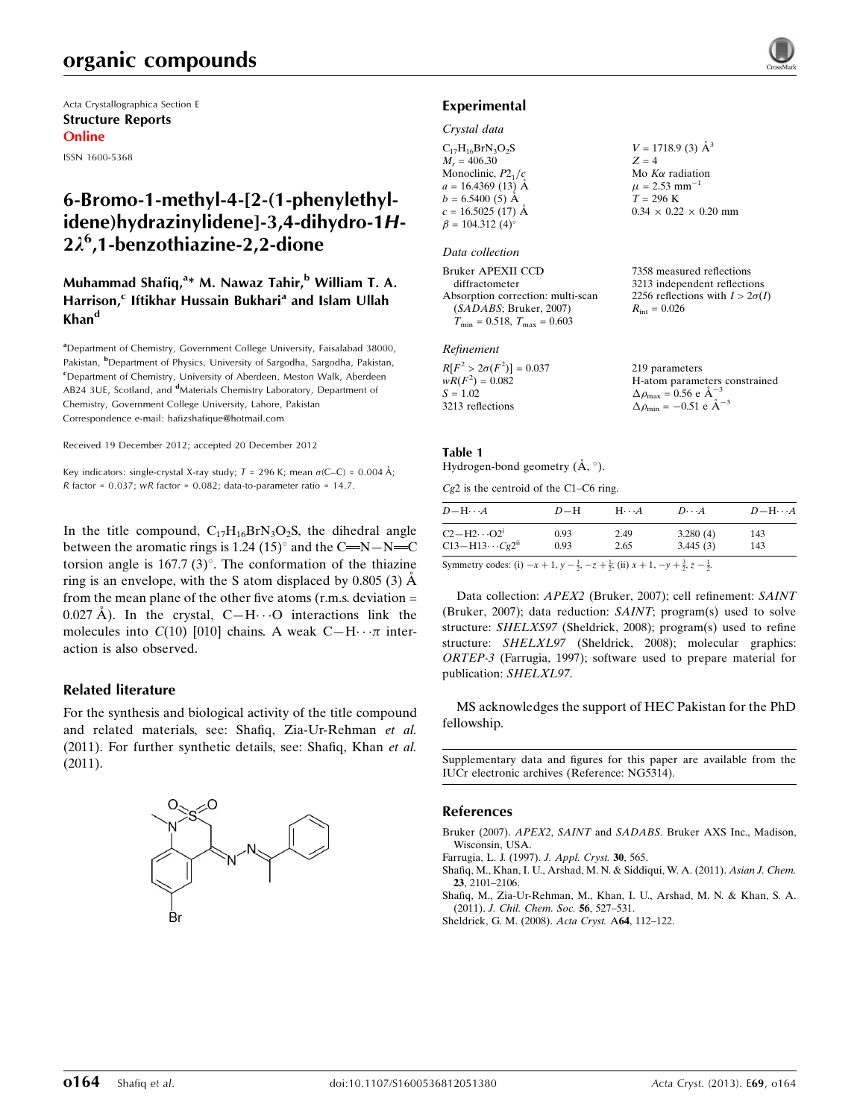# organic compounds

Acta Crystallographica Section E Structure Reports Online ISSN 1600-5368

# 6-Bromo-1-methyl-4-[2-(1-phenylethylidene)hydrazinylidene]-3,4-dihydro-1H-2k<sup>6</sup> ,1-benzothiazine-2,2-dione

### Muhammad Shafiq,<sup>a</sup>\* M. Nawaz Tahir,<sup>b</sup> William T. A. Harrison,<sup>c</sup> Iftikhar Hussain Bukhari<sup>a</sup> and Islam Ullah Khan<sup>d</sup>

<sup>a</sup>Department of Chemistry, Government College University, Faisalabad 38000, Pakistan, <sup>b</sup>Department of Physics, University of Sargodha, Sargodha, Pakistan, <sup>c</sup>Department of Chemistry, University of Aberdeen, Meston Walk, Aberdeen AB24 3UE, Scotland, and <sup>d</sup>Materials Chemistry Laboratory, Department of Chemistry, Government College University, Lahore, Pakistan Correspondence e-mail: [hafizshafique@hotmail.com](https://scripts.iucr.org/cgi-bin/cr.cgi?rm=pdfbb&cnor=ng5314&bbid=BB5)

Received 19 December 2012; accepted 20 December 2012

Key indicators: single-crystal X-ray study;  $T = 296$  K; mean  $\sigma$ (C–C) = 0.004 Å; R factor =  $0.037$ ; wR factor =  $0.082$ ; data-to-parameter ratio =  $14.7$ .

In the title compound,  $C_{17}H_{16}BrN_3O_2S$ , the dihedral angle between the aromatic rings is 1.24  $(15)^\circ$  and the C=N-N=C torsion angle is  $167.7$  (3)°. The conformation of the thiazine ring is an envelope, with the S atom displaced by  $0.805(3)$   $\AA$ from the mean plane of the other five atoms  $(r.m.s.$  deviation  $=$ 0.027 Å). In the crystal,  $C-H \cdot \cdot \cdot O$  interactions link the molecules into  $C(10)$  [010] chains. A weak  $C-H \cdots \pi$  interaction is also observed.

### Related literature

For the synthesis and biological activity of the title compound and related materials, see: Shafiq, Zia-Ur-Rehman et al. (2011). For further synthetic details, see: Shafiq, Khan et al. (2011).



### Experimental

### Crystal data

| $C_{17}H_{16}BrN_3O_2S$ | $V = 1718.9$ (3) $\AA^3$          |
|-------------------------|-----------------------------------|
| $M_r = 406.30$          | $Z = 4$                           |
| Monoclinic, $P2_1/c$    | Mo $K\alpha$ radiation            |
| $a = 16.4369(13)$ Å     | $\mu$ = 2.53 mm <sup>-1</sup>     |
| $b = 6.5400(5)$ Å       | $T = 296$ K                       |
| $c = 16.5025$ (17) Å    | $0.34 \times 0.22 \times 0.20$ mm |
| $\beta = 104.312(4)$ °  |                                   |
|                         |                                   |

### Data collection

Bruker APEXII CCD diffractometer Absorption correction: multi-scan (SADABS; Bruker, 2007)  $T_{\text{min}} = 0.518$ ,  $T_{\text{max}} = 0.603$ 

#### Refinement

| $R[F^2 > 2\sigma(F^2)] = 0.037$ | 219 parameters                                     |
|---------------------------------|----------------------------------------------------|
| $wR(F^2) = 0.082$               | H-atom parameters constrained                      |
| $S = 1.02$                      | $\Delta \rho_{\text{max}} = 0.56 \text{ e A}^{-3}$ |
| 3213 reflections                | $\Delta \rho_{\text{min}} = -0.51$ e $\AA^{-3}$    |

7358 measured reflections 3213 independent reflections 2256 reflections with  $I > 2\sigma(I)$ 

 $R_{\text{int}} = 0.026$ 

### Table 1

Hydrogen-bond geometry  $(\AA, \degree)$ .

Cg2 is the centroid of the C1–C6 ring.

| $D\!-\!\mathrm{H}\!\cdots\! A$                                                                                                                                                                                                                                                                                                   | $D-H$ | $H\cdots A$ | $D\cdots A$ | $D - H \cdots A$ |
|----------------------------------------------------------------------------------------------------------------------------------------------------------------------------------------------------------------------------------------------------------------------------------------------------------------------------------|-------|-------------|-------------|------------------|
| $C2-H2\cdots O21$                                                                                                                                                                                                                                                                                                                | 0.93  | 2.49        | 3.280(4)    | 143              |
| $C13 - H13 \cdots Cg2^{ii}$                                                                                                                                                                                                                                                                                                      | 0.93  | 2.65        | 3.445(3)    | 143              |
| $\alpha$ and $\alpha$ and $\alpha$ and $\alpha$ and $\alpha$ and $\alpha$ and $\alpha$ and $\alpha$ and $\alpha$ and $\alpha$ and $\alpha$ and $\alpha$ and $\alpha$ and $\alpha$ and $\alpha$ and $\alpha$ and $\alpha$ and $\alpha$ and $\alpha$ and $\alpha$ and $\alpha$ and $\alpha$ and $\alpha$ and $\alpha$ and $\alpha$ |       |             |             |                  |

Symmetry codes: (i)  $-x + 1$ ,  $y - \frac{1}{2}$ ,  $-z + \frac{1}{2}$ ; (ii)  $x + 1$ ,  $-y + \frac{3}{2}$ ,  $z - \frac{1}{2}$ .

Data collection: APEX2 (Bruker, 2007); cell refinement: SAINT (Bruker, 2007); data reduction: SAINT; program(s) used to solve structure: SHELXS97 (Sheldrick, 2008); program(s) used to refine structure: SHELXL97 (Sheldrick, 2008); molecular graphics: ORTEP-3 (Farrugia, 1997); software used to prepare material for publication: SHELXL97.

MS acknowledges the support of HEC Pakistan for the PhD fellowship.

Supplementary data and figures for this paper are available from the IUCr electronic archives (Reference: NG5314).

### References

Bruker (2007). APEX2, SAINT and SADABS[. Bruker AXS Inc., Madison,](https://scripts.iucr.org/cgi-bin/cr.cgi?rm=pdfbb&cnor=ng5314&bbid=BB1) [Wisconsin, USA.](https://scripts.iucr.org/cgi-bin/cr.cgi?rm=pdfbb&cnor=ng5314&bbid=BB1)

[Farrugia, L. J. \(1997\).](https://scripts.iucr.org/cgi-bin/cr.cgi?rm=pdfbb&cnor=ng5314&bbid=BB2) J. Appl. Cryst. 30, 565.

[Shafiq, M., Khan, I. U., Arshad, M. N. & Siddiqui, W. A. \(2011\).](https://scripts.iucr.org/cgi-bin/cr.cgi?rm=pdfbb&cnor=ng5314&bbid=BB3) Asian J. Chem. 23[, 2101–2106.](https://scripts.iucr.org/cgi-bin/cr.cgi?rm=pdfbb&cnor=ng5314&bbid=BB3)

[Shafiq, M., Zia-Ur-Rehman, M., Khan, I. U., Arshad, M. N. & Khan, S. A.](https://scripts.iucr.org/cgi-bin/cr.cgi?rm=pdfbb&cnor=ng5314&bbid=BB4) (2011). [J. Chil. Chem. Soc.](https://scripts.iucr.org/cgi-bin/cr.cgi?rm=pdfbb&cnor=ng5314&bbid=BB4) 56, 527–531.

[Sheldrick, G. M. \(2008\).](https://scripts.iucr.org/cgi-bin/cr.cgi?rm=pdfbb&cnor=ng5314&bbid=BB5) Acta Cryst. A64, 112–122.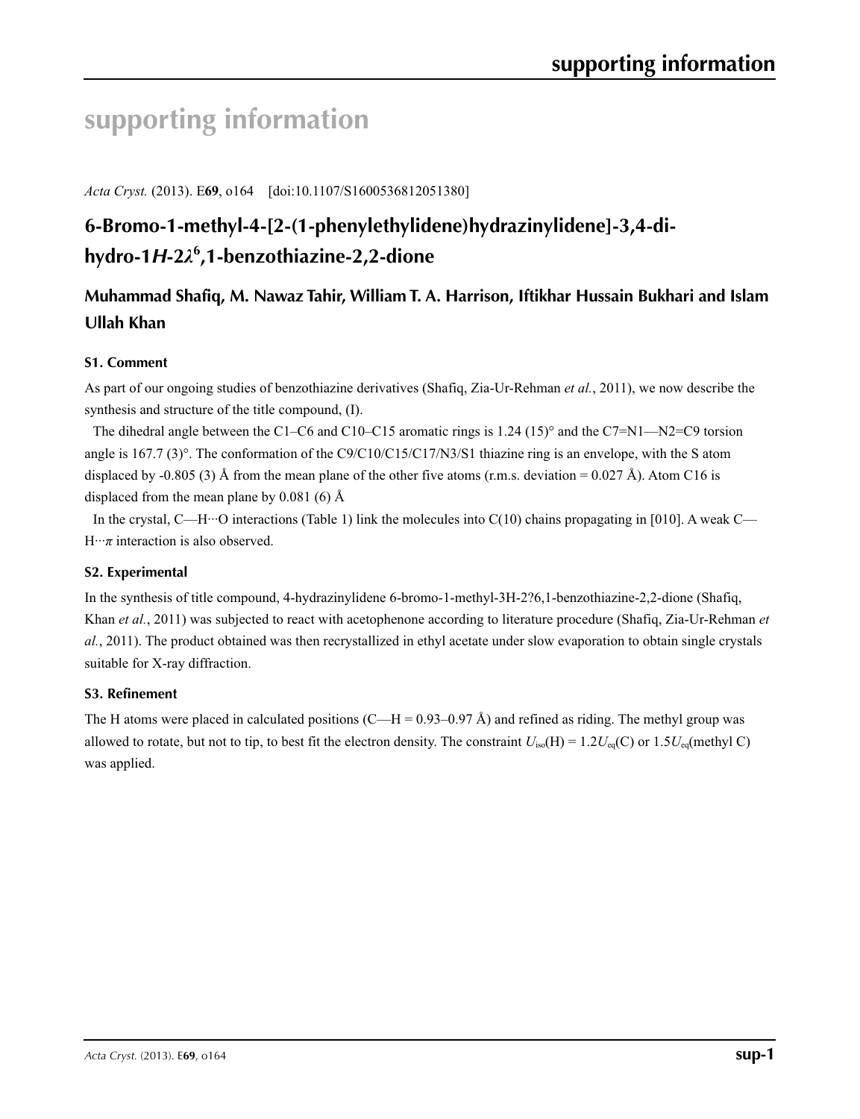# **supporting information**

*Acta Cryst.* (2013). E**69**, o164 [doi:10.1107/S1600536812051380]

# **6-Bromo-1-methyl-4-[2-(1-phenylethylidene)hydrazinylidene]-3,4-dihydro-1***H***-2***λ***<sup>6</sup> ,1-benzothiazine-2,2-dione**

# **Muhammad Shafiq, M. Nawaz Tahir, William T. A. Harrison, Iftikhar Hussain Bukhari and Islam Ullah Khan**

## **S1. Comment**

As part of our ongoing studies of benzothiazine derivatives (Shafiq, Zia-Ur-Rehman *et al.*, 2011), we now describe the synthesis and structure of the title compound, (I).

The dihedral angle between the C1–C6 and C10–C15 aromatic rings is 1.24 (15)° and the C7=N1—N2=C9 torsion angle is 167.7 (3)°. The conformation of the C9/C10/C15/C17/N3/S1 thiazine ring is an envelope, with the S atom displaced by -0.805 (3) Å from the mean plane of the other five atoms (r.m.s. deviation = 0.027 Å). Atom C16 is displaced from the mean plane by  $0.081$  (6) Å

In the crystal, C—H···O interactions (Table 1) link the molecules into  $C(10)$  chains propagating in [010]. A weak C—  $H \cdot \cdot \pi$  interaction is also observed.

### **S2. Experimental**

In the synthesis of title compound, 4-hydrazinylidene 6-bromo-1-methyl-3H-2?6,1-benzothiazine-2,2-dione (Shafiq, Khan *et al.*, 2011) was subjected to react with acetophenone according to literature procedure (Shafiq, Zia-Ur-Rehman *et al.*, 2011). The product obtained was then recrystallized in ethyl acetate under slow evaporation to obtain single crystals suitable for X-ray diffraction.

### **S3. Refinement**

The H atoms were placed in calculated positions (C—H =  $0.93-0.97$  Å) and refined as riding. The methyl group was allowed to rotate, but not to tip, to best fit the electron density. The constraint  $U_{iso}(H) = 1.2U_{eq}(C)$  or  $1.5U_{eq}(methyl C)$ was applied.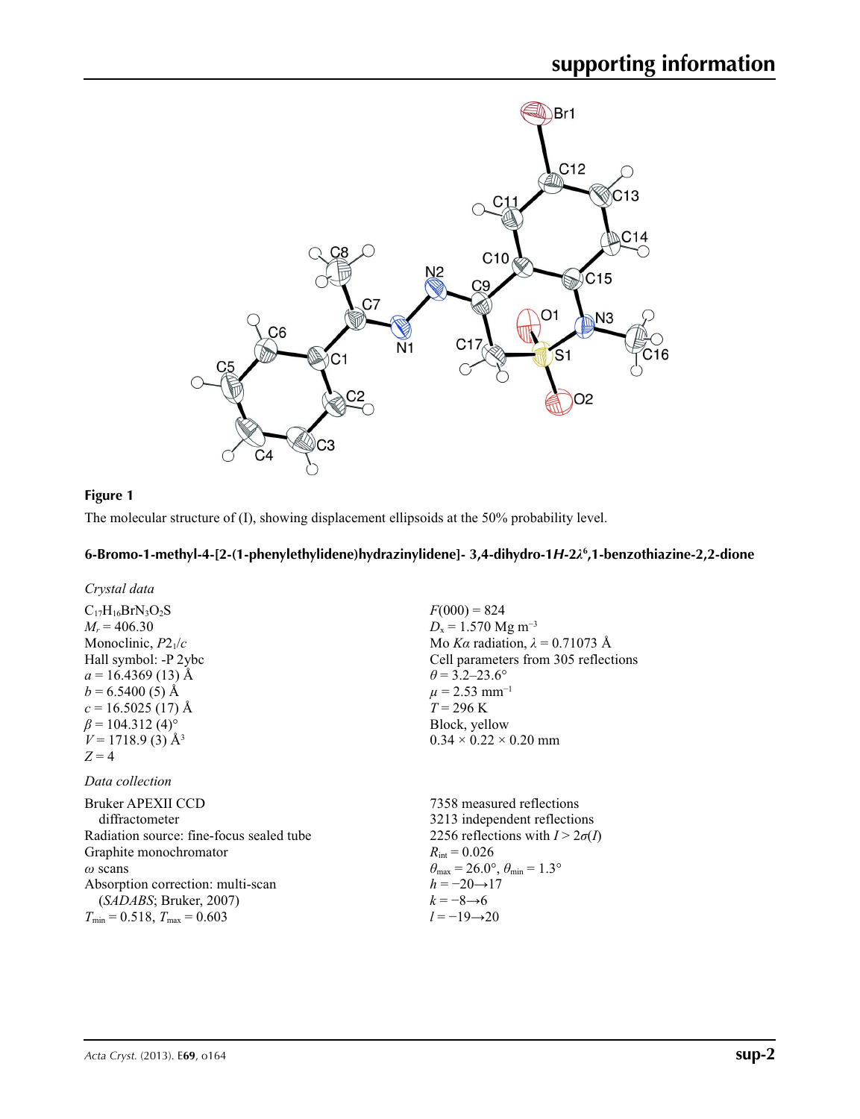

### **Figure 1**

The molecular structure of (I), showing displacement ellipsoids at the 50% probability level.

### **6-Bromo-1-methyl-4-[2-(1-phenylethylidene)hydrazinylidene]- 3,4-dihydro-1***H***-2***λ***<sup>6</sup> ,1-benzothiazine-2,2-dione**

 $R_{\text{int}} = 0.026$ 

*h* = −20→17  $k = -8 \rightarrow 6$ *l* = −19→20

 $\theta_{\text{max}} = 26.0^{\circ}, \theta_{\text{min}} = 1.3^{\circ}$ 

| Crystal data                             |                                        |
|------------------------------------------|----------------------------------------|
| $C_{17}H_{16}BrN_3O_2S$                  | $F(000) = 824$                         |
| $M_r = 406.30$                           | $D_x = 1.570$ Mg m <sup>-3</sup>       |
| Monoclinic, $P2_1/c$                     | Mo Ka radiation, $\lambda = 0.71073$ Å |
| Hall symbol: -P 2ybc                     | Cell parameters from 305 reflections   |
| $a = 16.4369(13)$ Å                      | $\theta$ = 3.2–23.6°                   |
| $b = 6.5400(5)$ Å                        | $\mu$ = 2.53 mm <sup>-1</sup>          |
| $c = 16.5025(17)$ Å                      | $T = 296 \text{ K}$                    |
| $\beta$ = 104.312 (4) <sup>o</sup>       | Block, yellow                          |
| $V = 1718.9$ (3) Å <sup>3</sup>          | $0.34 \times 0.22 \times 0.20$ mm      |
| $Z = 4$                                  |                                        |
| Data collection                          |                                        |
| Bruker APEXII CCD                        | 7358 measured reflections              |
| diffractometer                           | 3213 independent reflections           |
| Radiation source: fine-focus sealed tube | 2256 reflections with $I > 2\sigma(I)$ |

Graphite monochromator

Absorption correction: multi-scan (*SADABS*; Bruker, 2007)  $T_{\text{min}} = 0.518$ ,  $T_{\text{max}} = 0.603$ 

*ω* scans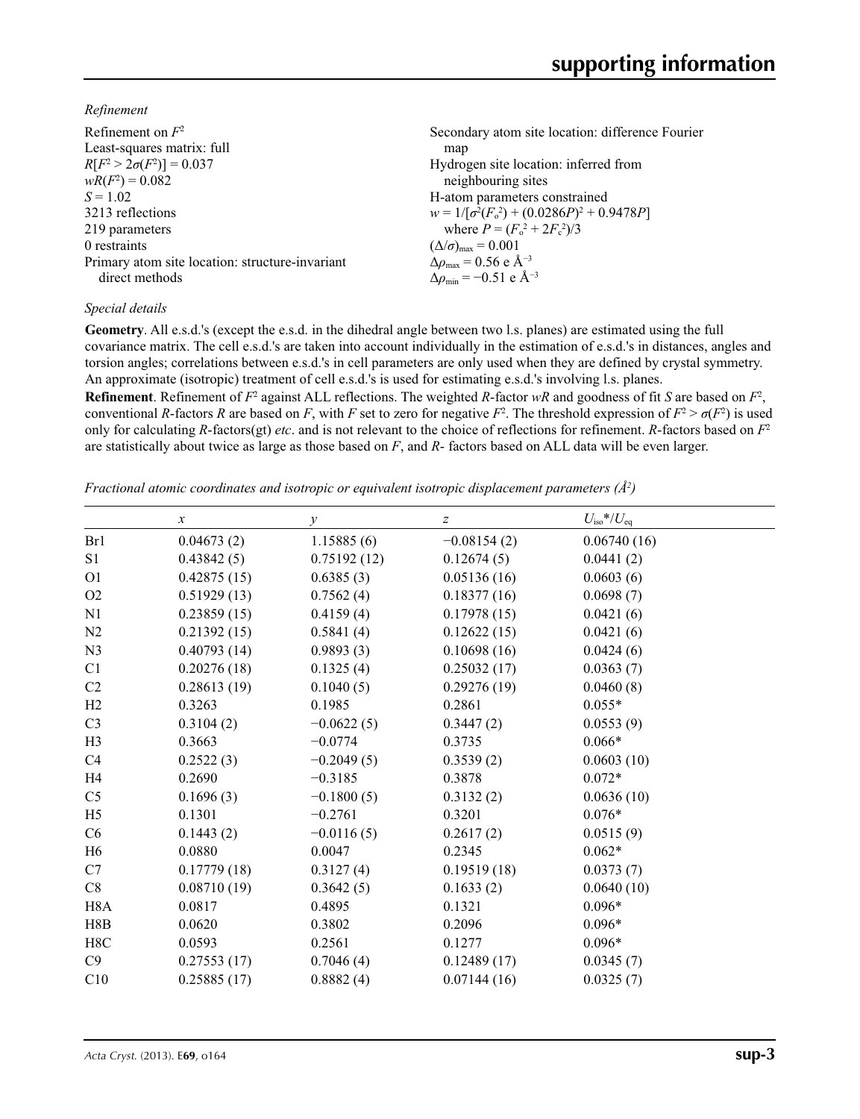*Refinement*

| Refinement on $F^2$                             | Secondary atom site location: difference Fourier  |
|-------------------------------------------------|---------------------------------------------------|
| Least-squares matrix: full                      | map                                               |
| $R[F^2 > 2\sigma(F^2)] = 0.037$                 | Hydrogen site location: inferred from             |
| $wR(F^2) = 0.082$                               | neighbouring sites                                |
| $S = 1.02$                                      | H-atom parameters constrained                     |
| 3213 reflections                                | $w = 1/[\sigma^2(F_0^2) + (0.0286P)^2 + 0.9478P]$ |
| 219 parameters                                  | where $P = (F_o^2 + 2F_c^2)/3$                    |
| 0 restraints                                    | $(\Delta/\sigma)_{\text{max}} = 0.001$            |
| Primary atom site location: structure-invariant | $\Delta\rho_{\text{max}} = 0.56 \text{ e A}^{-3}$ |
| direct methods                                  | $\Delta \rho_{\rm min} = -0.51$ e Å <sup>-3</sup> |
|                                                 |                                                   |

### *Special details*

**Geometry**. All e.s.d.'s (except the e.s.d. in the dihedral angle between two l.s. planes) are estimated using the full covariance matrix. The cell e.s.d.'s are taken into account individually in the estimation of e.s.d.'s in distances, angles and torsion angles; correlations between e.s.d.'s in cell parameters are only used when they are defined by crystal symmetry. An approximate (isotropic) treatment of cell e.s.d.'s is used for estimating e.s.d.'s involving l.s. planes.

**Refinement**. Refinement of  $F^2$  against ALL reflections. The weighted R-factor wR and goodness of fit *S* are based on  $F^2$ , conventional *R*-factors *R* are based on *F*, with *F* set to zero for negative  $F^2$ . The threshold expression of  $F^2 > \sigma(F^2)$  is used only for calculating *R*-factors(gt) *etc*. and is not relevant to the choice of reflections for refinement. *R*-factors based on *F*<sup>2</sup> are statistically about twice as large as those based on *F*, and *R*- factors based on ALL data will be even larger.

*Fractional atomic coordinates and isotropic or equivalent isotropic displacement parameters (Å<sup>2</sup>)* 

|                  | $\boldsymbol{x}$ | у            | $\boldsymbol{z}$ | $U_{\rm iso}$ */ $U_{\rm eq}$ |
|------------------|------------------|--------------|------------------|-------------------------------|
| Br1              | 0.04673(2)       | 1.15885(6)   | $-0.08154(2)$    | 0.06740(16)                   |
| S <sub>1</sub>   | 0.43842(5)       | 0.75192(12)  | 0.12674(5)       | 0.0441(2)                     |
| O <sub>1</sub>   | 0.42875(15)      | 0.6385(3)    | 0.05136(16)      | 0.0603(6)                     |
| O2               | 0.51929(13)      | 0.7562(4)    | 0.18377(16)      | 0.0698(7)                     |
| N1               | 0.23859(15)      | 0.4159(4)    | 0.17978(15)      | 0.0421(6)                     |
| N2               | 0.21392(15)      | 0.5841(4)    | 0.12622(15)      | 0.0421(6)                     |
| N <sub>3</sub>   | 0.40793(14)      | 0.9893(3)    | 0.10698(16)      | 0.0424(6)                     |
| C <sub>1</sub>   | 0.20276(18)      | 0.1325(4)    | 0.25032(17)      | 0.0363(7)                     |
| C <sub>2</sub>   | 0.28613(19)      | 0.1040(5)    | 0.29276(19)      | 0.0460(8)                     |
| H2               | 0.3263           | 0.1985       | 0.2861           | $0.055*$                      |
| C <sub>3</sub>   | 0.3104(2)        | $-0.0622(5)$ | 0.3447(2)        | 0.0553(9)                     |
| H <sub>3</sub>   | 0.3663           | $-0.0774$    | 0.3735           | $0.066*$                      |
| C4               | 0.2522(3)        | $-0.2049(5)$ | 0.3539(2)        | 0.0603(10)                    |
| H4               | 0.2690           | $-0.3185$    | 0.3878           | $0.072*$                      |
| C <sub>5</sub>   | 0.1696(3)        | $-0.1800(5)$ | 0.3132(2)        | 0.0636(10)                    |
| H <sub>5</sub>   | 0.1301           | $-0.2761$    | 0.3201           | $0.076*$                      |
| C <sub>6</sub>   | 0.1443(2)        | $-0.0116(5)$ | 0.2617(2)        | 0.0515(9)                     |
| H <sub>6</sub>   | 0.0880           | 0.0047       | 0.2345           | $0.062*$                      |
| C7               | 0.17779(18)      | 0.3127(4)    | 0.19519(18)      | 0.0373(7)                     |
| C8               | 0.08710(19)      | 0.3642(5)    | 0.1633(2)        | 0.0640(10)                    |
| H <sub>8</sub> A | 0.0817           | 0.4895       | 0.1321           | $0.096*$                      |
| H8B              | 0.0620           | 0.3802       | 0.2096           | $0.096*$                      |
| H8C              | 0.0593           | 0.2561       | 0.1277           | $0.096*$                      |
| C9               | 0.27553(17)      | 0.7046(4)    | 0.12489(17)      | 0.0345(7)                     |
| C10              | 0.25885(17)      | 0.8882(4)    | 0.07144(16)      | 0.0325(7)                     |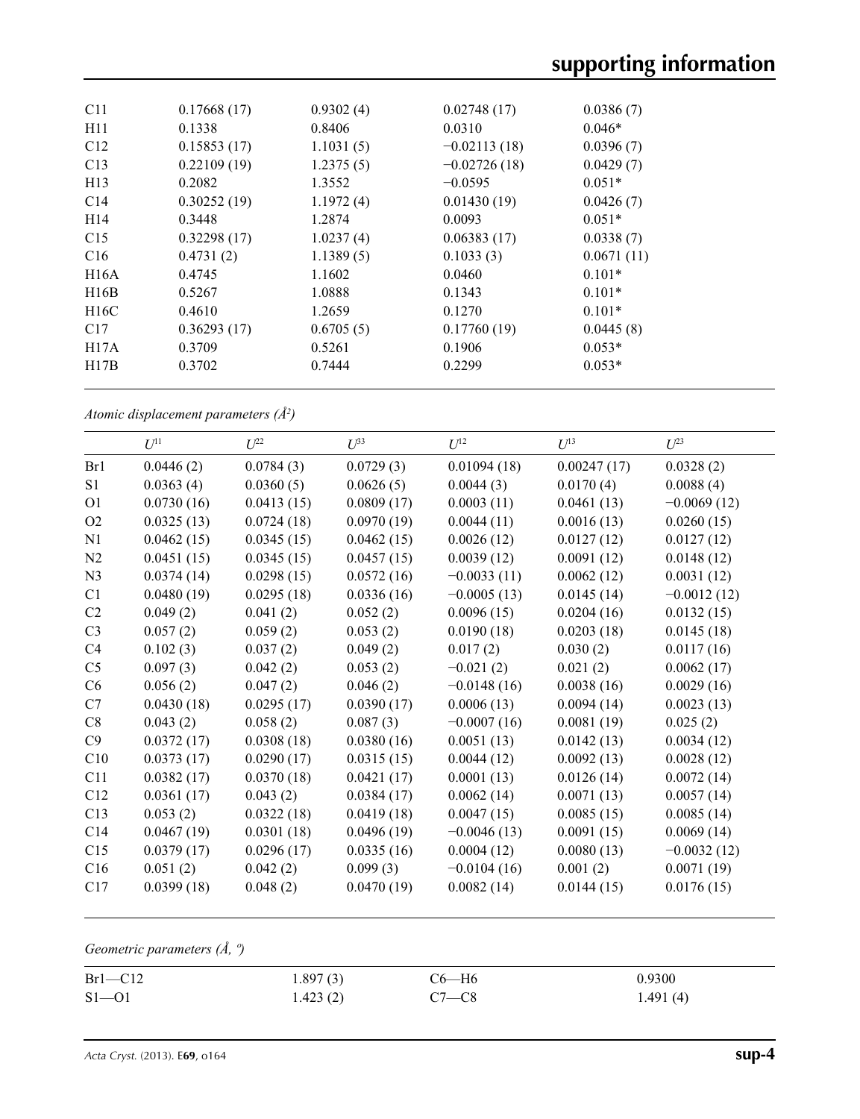| C11             | 0.17668(17) | 0.9302(4) | 0.02748(17)    | 0.0386(7)  |
|-----------------|-------------|-----------|----------------|------------|
| H11             | 0.1338      | 0.8406    | 0.0310         | $0.046*$   |
| C12             | 0.15853(17) | 1.1031(5) | $-0.02113(18)$ | 0.0396(7)  |
| C13             | 0.22109(19) | 1.2375(5) | $-0.02726(18)$ | 0.0429(7)  |
| H <sub>13</sub> | 0.2082      | 1.3552    | $-0.0595$      | $0.051*$   |
| C14             | 0.30252(19) | 1.1972(4) | 0.01430(19)    | 0.0426(7)  |
| H <sub>14</sub> | 0.3448      | 1.2874    | 0.0093         | $0.051*$   |
| C15             | 0.32298(17) | 1.0237(4) | 0.06383(17)    | 0.0338(7)  |
| C16             | 0.4731(2)   | 1.1389(5) | 0.1033(3)      | 0.0671(11) |
| H16A            | 0.4745      | 1.1602    | 0.0460         | $0.101*$   |
| H16B            | 0.5267      | 1.0888    | 0.1343         | $0.101*$   |
| H16C            | 0.4610      | 1.2659    | 0.1270         | $0.101*$   |
| C17             | 0.36293(17) | 0.6705(5) | 0.17760(19)    | 0.0445(8)  |
| H17A            | 0.3709      | 0.5261    | 0.1906         | $0.053*$   |
| H17B            | 0.3702      | 0.7444    | 0.2299         | $0.053*$   |
|                 |             |           |                |            |

*Atomic displacement parameters (Å2 )*

|                | $U^{11}$   | $L^{22}$   | $\mathcal{L}^{\beta 3}$ | $U^{12}$      | $U^{13}$    | $L^{23}$      |
|----------------|------------|------------|-------------------------|---------------|-------------|---------------|
| Br1            | 0.0446(2)  | 0.0784(3)  | 0.0729(3)               | 0.01094(18)   | 0.00247(17) | 0.0328(2)     |
| S1             | 0.0363(4)  | 0.0360(5)  | 0.0626(5)               | 0.0044(3)     | 0.0170(4)   | 0.0088(4)     |
| O <sub>1</sub> | 0.0730(16) | 0.0413(15) | 0.0809(17)              | 0.0003(11)    | 0.0461(13)  | $-0.0069(12)$ |
| O <sub>2</sub> | 0.0325(13) | 0.0724(18) | 0.0970(19)              | 0.0044(11)    | 0.0016(13)  | 0.0260(15)    |
| N1             | 0.0462(15) | 0.0345(15) | 0.0462(15)              | 0.0026(12)    | 0.0127(12)  | 0.0127(12)    |
| N2             | 0.0451(15) | 0.0345(15) | 0.0457(15)              | 0.0039(12)    | 0.0091(12)  | 0.0148(12)    |
| N <sub>3</sub> | 0.0374(14) | 0.0298(15) | 0.0572(16)              | $-0.0033(11)$ | 0.0062(12)  | 0.0031(12)    |
| C1             | 0.0480(19) | 0.0295(18) | 0.0336(16)              | $-0.0005(13)$ | 0.0145(14)  | $-0.0012(12)$ |
| C <sub>2</sub> | 0.049(2)   | 0.041(2)   | 0.052(2)                | 0.0096(15)    | 0.0204(16)  | 0.0132(15)    |
| C <sub>3</sub> | 0.057(2)   | 0.059(2)   | 0.053(2)                | 0.0190(18)    | 0.0203(18)  | 0.0145(18)    |
| C <sub>4</sub> | 0.102(3)   | 0.037(2)   | 0.049(2)                | 0.017(2)      | 0.030(2)    | 0.0117(16)    |
| C <sub>5</sub> | 0.097(3)   | 0.042(2)   | 0.053(2)                | $-0.021(2)$   | 0.021(2)    | 0.0062(17)    |
| C6             | 0.056(2)   | 0.047(2)   | 0.046(2)                | $-0.0148(16)$ | 0.0038(16)  | 0.0029(16)    |
| C7             | 0.0430(18) | 0.0295(17) | 0.0390(17)              | 0.0006(13)    | 0.0094(14)  | 0.0023(13)    |
| C8             | 0.043(2)   | 0.058(2)   | 0.087(3)                | $-0.0007(16)$ | 0.0081(19)  | 0.025(2)      |
| C9             | 0.0372(17) | 0.0308(18) | 0.0380(16)              | 0.0051(13)    | 0.0142(13)  | 0.0034(12)    |
| C10            | 0.0373(17) | 0.0290(17) | 0.0315(15)              | 0.0044(12)    | 0.0092(13)  | 0.0028(12)    |
| C11            | 0.0382(17) | 0.0370(18) | 0.0421(17)              | 0.0001(13)    | 0.0126(14)  | 0.0072(14)    |
| C12            | 0.0361(17) | 0.043(2)   | 0.0384(17)              | 0.0062(14)    | 0.0071(13)  | 0.0057(14)    |
| C13            | 0.053(2)   | 0.0322(18) | 0.0419(18)              | 0.0047(15)    | 0.0085(15)  | 0.0085(14)    |
| C14            | 0.0467(19) | 0.0301(18) | 0.0496(19)              | $-0.0046(13)$ | 0.0091(15)  | 0.0069(14)    |
| C15            | 0.0379(17) | 0.0296(17) | 0.0335(16)              | 0.0004(12)    | 0.0080(13)  | $-0.0032(12)$ |
| C16            | 0.051(2)   | 0.042(2)   | 0.099(3)                | $-0.0104(16)$ | 0.001(2)    | 0.0071(19)    |
| C17            | 0.0399(18) | 0.048(2)   | 0.0470(19)              | 0.0082(14)    | 0.0144(15)  | 0.0176(15)    |

*Geometric parameters (Å, º)*

| $Br1-C12$ | 1.897(3) | С6—Н6   | 0.9300   |
|-----------|----------|---------|----------|
| $S1 - 01$ | 1.423(2) | $C7-C8$ | 1.491(4) |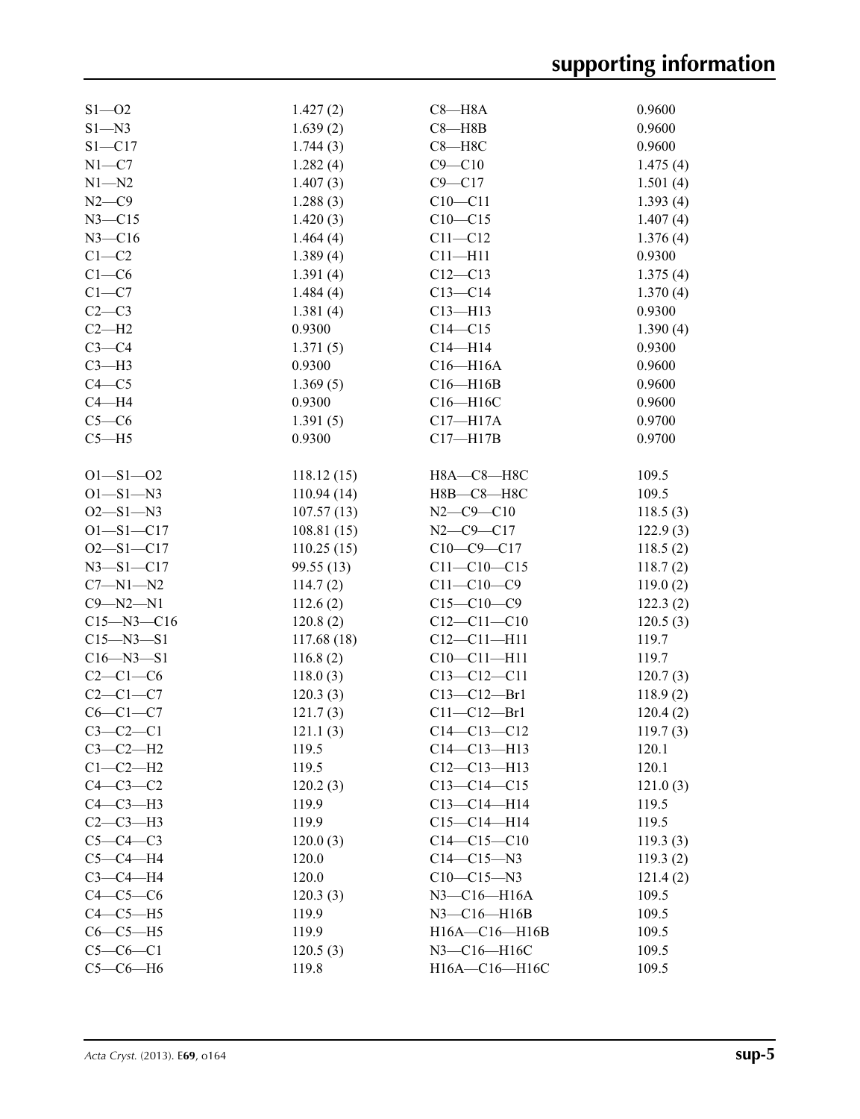| $S1 - 02$        | 1.427(2)   | $C8 - H8A$            | 0.9600   |
|------------------|------------|-----------------------|----------|
| $S1 - N3$        | 1.639(2)   | $C8 - H8B$            | 0.9600   |
| $S1 - C17$       | 1.744(3)   | $C8 - H8C$            | 0.9600   |
| $N1 - C7$        | 1.282(4)   | $C9 - C10$            | 1.475(4) |
| $N1 - N2$        | 1.407(3)   | $C9 - C17$            | 1.501(4) |
| $N2-C9$          | 1.288(3)   | $C10 - C11$           | 1.393(4) |
| $N3 - C15$       | 1.420(3)   | $C10 - C15$           | 1.407(4) |
| $N3 - C16$       | 1.464(4)   | $C11 - C12$           | 1.376(4) |
| $C1-C2$          | 1.389(4)   | $C11 - H11$           | 0.9300   |
| $C1-C6$          | 1.391(4)   | $C12 - C13$           | 1.375(4) |
| $C1-C7$          | 1.484(4)   | $C13-C14$             | 1.370(4) |
| $C2-C3$          | 1.381(4)   | $C13 - H13$           | 0.9300   |
|                  |            |                       |          |
| $C2-H2$          | 0.9300     | $C14 - C15$           | 1.390(4) |
| $C3-C4$          | 1.371(5)   | $C14 - H14$           | 0.9300   |
| $C3-H3$          | 0.9300     | $C16 - H16A$          | 0.9600   |
| $C4 - C5$        | 1.369(5)   | $C16 - H16B$          | 0.9600   |
| $C4 - H4$        | 0.9300     | C16-H16C              | 0.9600   |
| $C5-C6$          | 1.391(5)   | $C17 - H17A$          | 0.9700   |
| $C5 - H5$        | 0.9300     | $C17 - H17B$          | 0.9700   |
|                  |            |                       |          |
| $O1 - S1 - O2$   | 118.12(15) | H8A-C8-H8C            | 109.5    |
| $O1 - S1 - N3$   | 110.94(14) | Н8В-С8-Н8С            | 109.5    |
| $O2 - S1 - N3$   | 107.57(13) | $N2 - C9 - C10$       | 118.5(3) |
| $O1 - S1 - C17$  | 108.81(15) | $N2 - C9 - C17$       | 122.9(3) |
| $O2 - S1 - C17$  | 110.25(15) | $C10-C9-C17$          | 118.5(2) |
| $N3 - S1 - C17$  | 99.55(13)  | $C11 - C10 - C15$     | 118.7(2) |
| $C7 - N1 - N2$   | 114.7(2)   | $C11 - C10 - C9$      | 119.0(2) |
| $C9 - N2 - N1$   | 112.6(2)   | $C15-C10-C9$          | 122.3(2) |
| $C15 - N3 - C16$ | 120.8(2)   | $C12 - C11 - C10$     | 120.5(3) |
| $C15 - N3 - S1$  | 117.68(18) | $C12 - C11 - H11$     | 119.7    |
| $C16 - N3 - S1$  | 116.8(2)   | $C10-C11-H11$         | 119.7    |
|                  |            |                       |          |
| $C2-C1-C6$       | 118.0(3)   | $C13 - C12 - C11$     | 120.7(3) |
| $C2-C1-C7$       | 120.3(3)   | $C13 - C12 - Br1$     | 118.9(2) |
| $C6-C1-C7$       | 121.7(3)   | $C11 - C12 - Br1$     | 120.4(2) |
| $C3-C2-C1$       | 121.1(3)   | $C14 - C13 - C12$     | 119.7(3) |
| $C3-C2-H2$       | 119.5      | $C14 - C13 - H13$     | 120.1    |
| $C1-C2-H2$       | 119.5      | $C12 - C13 - H13$     | 120.1    |
| $C4-C3-C2$       | 120.2(3)   | $C13 - C14 - C15$     | 121.0(3) |
| $C4-C3-H3$       | 119.9      | $C13-C14-H14$         | 119.5    |
| $C2-C3-H3$       | 119.9      | $C15-C14-H14$         | 119.5    |
| $C5-C4-C3$       | 120.0(3)   | $C14-C15-C10$         | 119.3(3) |
| $C5-C4-H4$       | 120.0      | $C14 - C15 - N3$      | 119.3(2) |
| $C3-C4-H4$       | 120.0      | $C10 - C15 - N3$      | 121.4(2) |
| $C4-C5-C6$       | 120.3(3)   | $N3$ – $C16$ – $H16A$ | 109.5    |
| $C4-C5-H5$       | 119.9      | $N3 - C16 - H16B$     | 109.5    |
| $C6-C5-H5$       | 119.9      | H16A-C16-H16B         | 109.5    |
| $C5-C6-C1$       | 120.5(3)   | N3-C16-H16C           | 109.5    |
| $C5-C6-H6$       | 119.8      | H16A-C16-H16C         | 109.5    |
|                  |            |                       |          |